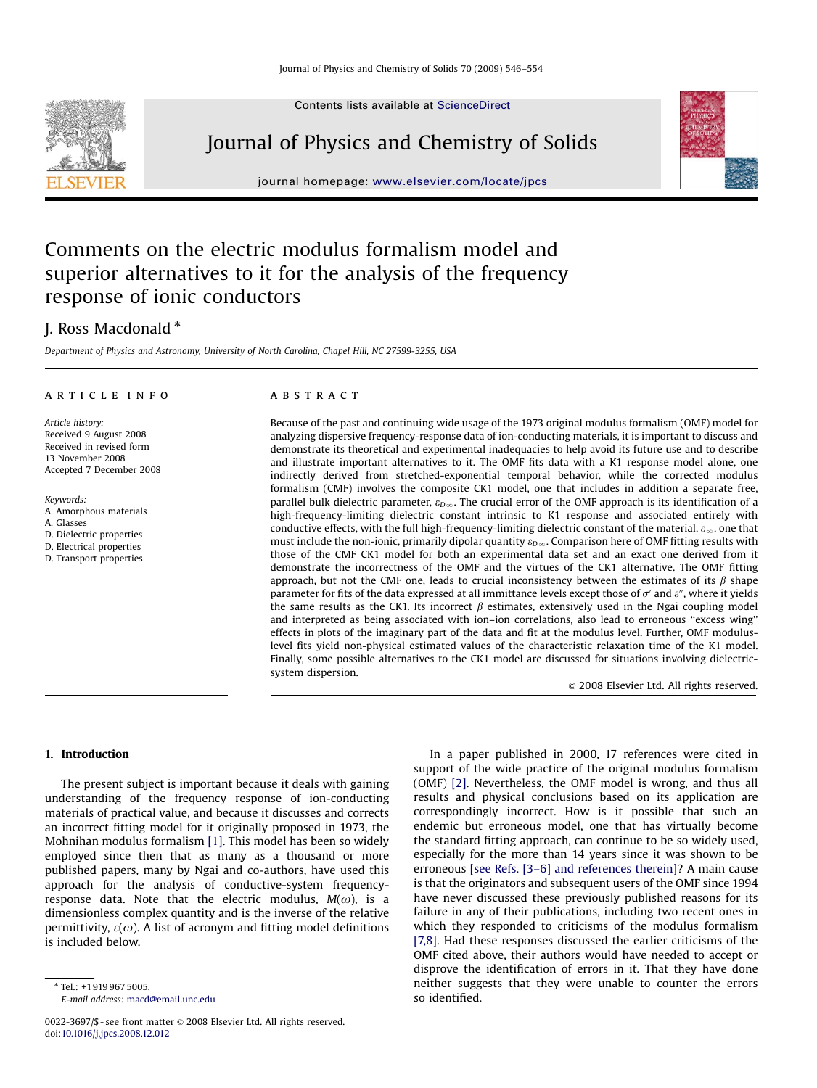Contents lists available at [ScienceDirect](www.sciencedirect.com/science/journal/pcs)

# Journal of Physics and Chemistry of Solids

journal homepage: <www.elsevier.com/locate/jpcs>

# Comments on the electric modulus formalism model and superior alternatives to it for the analysis of the frequency response of ionic conductors

# J. Ross Macdonald  $^*$

Department of Physics and Astronomy, University of North Carolina, Chapel Hill, NC 27599-3255, USA

## article info

Article history: Received 9 August 2008 Received in revised form 13 November 2008 Accepted 7 December 2008

Keywords: A. Amorphous materials A. Glasses D. Dielectric properties D. Electrical properties D. Transport properties

#### ABSTRACT

Because of the past and continuing wide usage of the 1973 original modulus formalism (OMF) model for analyzing dispersive frequency-response data of ion-conducting materials, it is important to discuss and demonstrate its theoretical and experimental inadequacies to help avoid its future use and to describe and illustrate important alternatives to it. The OMF fits data with a K1 response model alone, one indirectly derived from stretched-exponential temporal behavior, while the corrected modulus formalism (CMF) involves the composite CK1 model, one that includes in addition a separate free, parallel bulk dielectric parameter,  $\varepsilon_{D\infty}$ . The crucial error of the OMF approach is its identification of a high-frequency-limiting dielectric constant intrinsic to K1 response and associated entirely with conductive effects, with the full high-frequency-limiting dielectric constant of the material,  $\varepsilon_{\infty}$ , one that must include the non-ionic, primarily dipolar quantity  $\varepsilon_{D\infty}$ . Comparison here of OMF fitting results with those of the CMF CK1 model for both an experimental data set and an exact one derived from it demonstrate the incorrectness of the OMF and the virtues of the CK1 alternative. The OMF fitting approach, but not the CMF one, leads to crucial inconsistency between the estimates of its  $\beta$  shape parameter for fits of the data expressed at all immittance levels except those of  $\sigma'$  and  $\varepsilon''$ , where it yields the same results as the CK1. Its incorrect  $\beta$  estimates, extensively used in the Ngai coupling model and interpreted as being associated with ion–ion correlations, also lead to erroneous ''excess wing'' effects in plots of the imaginary part of the data and fit at the modulus level. Further, OMF moduluslevel fits yield non-physical estimated values of the characteristic relaxation time of the K1 model. Finally, some possible alternatives to the CK1 model are discussed for situations involving dielectricsystem dispersion.

 $\odot$  2008 Elsevier Ltd. All rights reserved.

# 1. Introduction

The present subject is important because it deals with gaining understanding of the frequency response of ion-conducting materials of practical value, and because it discusses and corrects an incorrect fitting model for it originally proposed in 1973, the Mohnihan modulus formalism [\[1\]](#page-8-0). This model has been so widely employed since then that as many as a thousand or more published papers, many by Ngai and co-authors, have used this approach for the analysis of conductive-system frequencyresponse data. Note that the electric modulus,  $M(\omega)$ , is a dimensionless complex quantity and is the inverse of the relative permittivity,  $\varepsilon(\omega)$ . A list of acronym and fitting model definitions is included below.

E-mail address: [macd@email.unc.edu](mailto:macd@email.unc.edu)

In a paper published in 2000, 17 references were cited in support of the wide practice of the original modulus formalism (OMF) [\[2\]](#page-8-0). Nevertheless, the OMF model is wrong, and thus all results and physical conclusions based on its application are correspondingly incorrect. How is it possible that such an endemic but erroneous model, one that has virtually become the standard fitting approach, can continue to be so widely used, especially for the more than 14 years since it was shown to be erroneous [\[see Refs. \[3–6\] and references therein\]?](#page-8-0) A main cause is that the originators and subsequent users of the OMF since 1994 have never discussed these previously published reasons for its failure in any of their publications, including two recent ones in which they responded to criticisms of the modulus formalism [\[7,8\].](#page-8-0) Had these responses discussed the earlier criticisms of the OMF cited above, their authors would have needed to accept or disprove the identification of errors in it. That they have done neither suggests that they were unable to counter the errors so identified.





<sup>0022-3697/\$ -</sup> see front matter  $\odot$  2008 Elsevier Ltd. All rights reserved. doi:[10.1016/j.jpcs.2008.12.012](dx.doi.org/10.1016/j.jpcs.2008.12.012)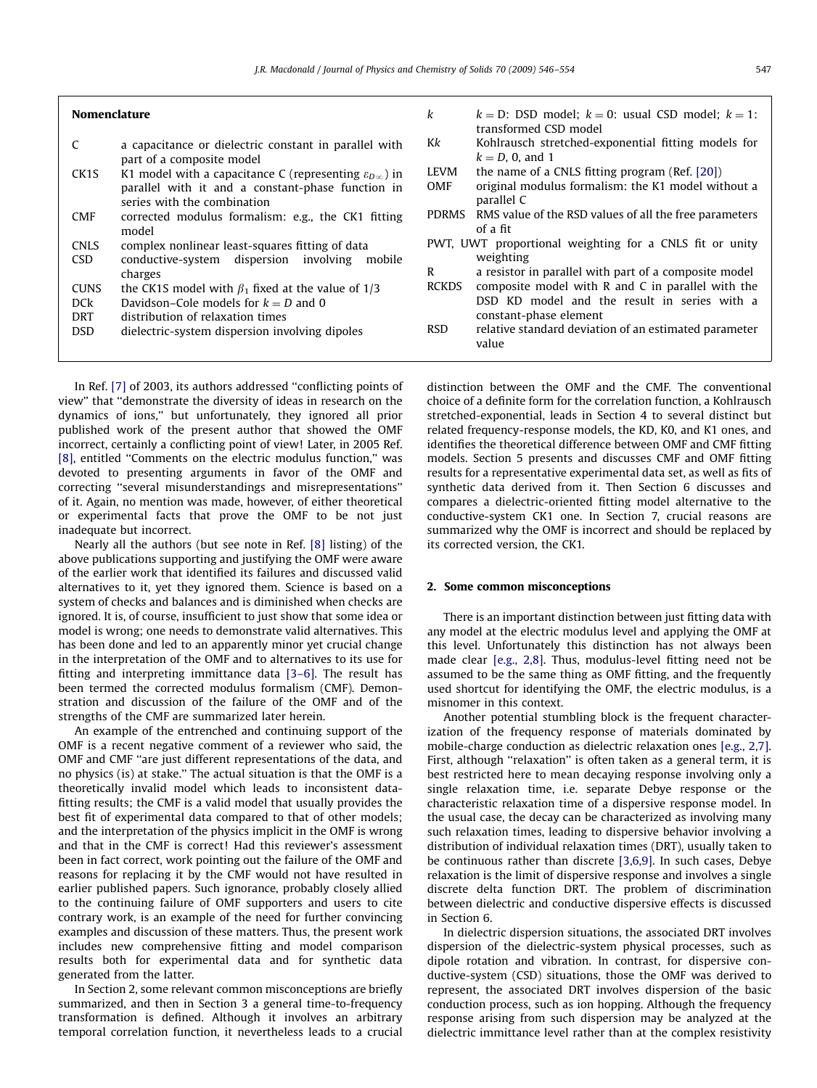| <b>Nomenclature</b> |
|---------------------|
|---------------------|

| C                 | a capacitance or dielectric constant in parallel with                                                                                  | Kk                        |
|-------------------|----------------------------------------------------------------------------------------------------------------------------------------|---------------------------|
| CK <sub>1</sub> S | part of a composite model<br>K1 model with a capacitance C (representing $\varepsilon_{D\infty}$ ) in                                  | <b>LEVN</b>               |
| <b>CMF</b>        | parallel with it and a constant-phase function in<br>series with the combination<br>corrected modulus formalism: e.g., the CK1 fitting | <b>OMF</b><br><b>PDRN</b> |
|                   | model                                                                                                                                  |                           |
| <b>CNLS</b>       | complex nonlinear least-squares fitting of data                                                                                        | PWT.                      |
| <b>CSD</b>        | conductive-system dispersion involving<br>mobile                                                                                       |                           |

- charges
- CUNS the CK1S model with  $\beta_1$  fixed at the value of 1/3
- DCk Davidson–Cole models for  $k = D$  and 0
- DRT distribution of relaxation times

| <b>DSD</b> |  | dielectric-system dispersion involving dipoles |  |  |
|------------|--|------------------------------------------------|--|--|
|------------|--|------------------------------------------------|--|--|

In Ref. [\[7\]](#page-8-0) of 2003, its authors addressed ''conflicting points of view'' that ''demonstrate the diversity of ideas in research on the dynamics of ions,'' but unfortunately, they ignored all prior published work of the present author that showed the OMF incorrect, certainly a conflicting point of view! Later, in 2005 Ref. [\[8\]](#page-8-0), entitled "Comments on the electric modulus function," was devoted to presenting arguments in favor of the OMF and correcting ''several misunderstandings and misrepresentations'' of it. Again, no mention was made, however, of either theoretical or experimental facts that prove the OMF to be not just inadequate but incorrect.

Nearly all the authors (but see note in Ref. [\[8\]](#page-8-0) listing) of the above publications supporting and justifying the OMF were aware of the earlier work that identified its failures and discussed valid alternatives to it, yet they ignored them. Science is based on a system of checks and balances and is diminished when checks are ignored. It is, of course, insufficient to just show that some idea or model is wrong; one needs to demonstrate valid alternatives. This has been done and led to an apparently minor yet crucial change in the interpretation of the OMF and to alternatives to its use for fitting and interpreting immittance data [\[3–6\]](#page-8-0). The result has been termed the corrected modulus formalism (CMF). Demonstration and discussion of the failure of the OMF and of the strengths of the CMF are summarized later herein.

An example of the entrenched and continuing support of the OMF is a recent negative comment of a reviewer who said, the OMF and CMF ''are just different representations of the data, and no physics (is) at stake.'' The actual situation is that the OMF is a theoretically invalid model which leads to inconsistent datafitting results; the CMF is a valid model that usually provides the best fit of experimental data compared to that of other models; and the interpretation of the physics implicit in the OMF is wrong and that in the CMF is correct! Had this reviewer's assessment been in fact correct, work pointing out the failure of the OMF and reasons for replacing it by the CMF would not have resulted in earlier published papers. Such ignorance, probably closely allied to the continuing failure of OMF supporters and users to cite contrary work, is an example of the need for further convincing examples and discussion of these matters. Thus, the present work includes new comprehensive fitting and model comparison results both for experimental data and for synthetic data generated from the latter.

In Section 2, some relevant common misconceptions are briefly summarized, and then in Section 3 a general time-to-frequency transformation is defined. Although it involves an arbitrary temporal correlation function, it nevertheless leads to a crucial k  $k = D$ : DSD model;  $k = 0$ : usual CSD model;  $k = 1$ : transformed CSD model Kohlrausch stretched-exponential fitting models for  $k = D$ , 0, and 1 If the name of a CNLS fitting program (Ref.  $[20]$ ) original modulus formalism: the K1 model without a parallel C MS RMS value of the RSD values of all the free parameters of a fit UWT proportional weighting for a CNLS fit or unity weighting R a resistor in parallel with part of a composite model RCKDS composite model with R and C in parallel with the DSD KD model and the result in series with a constant-phase element RSD relative standard deviation of an estimated parameter value

distinction between the OMF and the CMF. The conventional choice of a definite form for the correlation function, a Kohlrausch stretched-exponential, leads in Section 4 to several distinct but related frequency-response models, the KD, K0, and K1 ones, and identifies the theoretical difference between OMF and CMF fitting models. Section 5 presents and discusses CMF and OMF fitting results for a representative experimental data set, as well as fits of synthetic data derived from it. Then Section 6 discusses and compares a dielectric-oriented fitting model alternative to the conductive-system CK1 one. In Section 7, crucial reasons are summarized why the OMF is incorrect and should be replaced by its corrected version, the CK1.

#### 2. Some common misconceptions

There is an important distinction between just fitting data with any model at the electric modulus level and applying the OMF at this level. Unfortunately this distinction has not always been made clear [\[e.g., 2,8\]](#page-8-0). Thus, modulus-level fitting need not be assumed to be the same thing as OMF fitting, and the frequently used shortcut for identifying the OMF, the electric modulus, is a misnomer in this context.

Another potential stumbling block is the frequent characterization of the frequency response of materials dominated by mobile-charge conduction as dielectric relaxation ones [\[e.g., 2,7\].](#page-8-0) First, although "relaxation" is often taken as a general term, it is best restricted here to mean decaying response involving only a single relaxation time, i.e. separate Debye response or the characteristic relaxation time of a dispersive response model. In the usual case, the decay can be characterized as involving many such relaxation times, leading to dispersive behavior involving a distribution of individual relaxation times (DRT), usually taken to be continuous rather than discrete [\[3,6,9\].](#page-8-0) In such cases, Debye relaxation is the limit of dispersive response and involves a single discrete delta function DRT. The problem of discrimination between dielectric and conductive dispersive effects is discussed in Section 6.

In dielectric dispersion situations, the associated DRT involves dispersion of the dielectric-system physical processes, such as dipole rotation and vibration. In contrast, for dispersive conductive-system (CSD) situations, those the OMF was derived to represent, the associated DRT involves dispersion of the basic conduction process, such as ion hopping. Although the frequency response arising from such dispersion may be analyzed at the dielectric immittance level rather than at the complex resistivity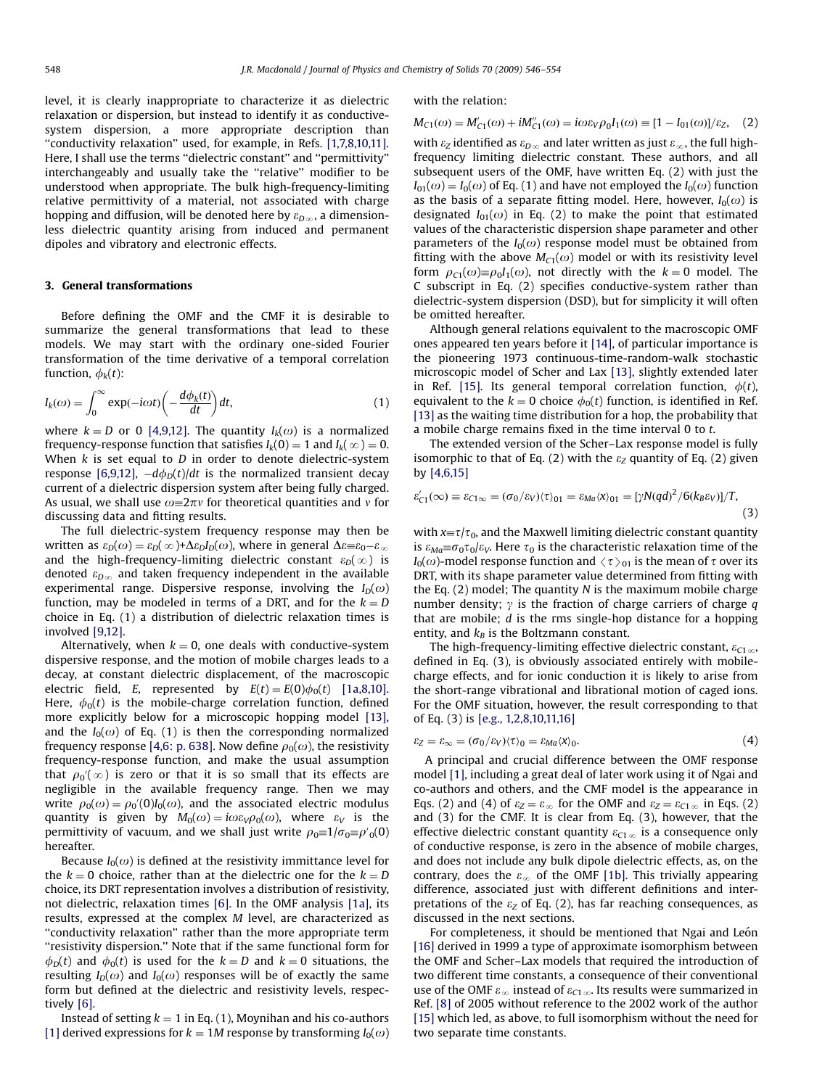level, it is clearly inappropriate to characterize it as dielectric relaxation or dispersion, but instead to identify it as conductivesystem dispersion, a more appropriate description than ''conductivity relaxation'' used, for example, in Refs. [\[1,7,8,10,11\].](#page-8-0) Here, I shall use the terms ''dielectric constant'' and ''permittivity'' interchangeably and usually take the ''relative'' modifier to be understood when appropriate. The bulk high-frequency-limiting relative permittivity of a material, not associated with charge hopping and diffusion, will be denoted here by  $\varepsilon_{D\infty}$ , a dimensionless dielectric quantity arising from induced and permanent dipoles and vibratory and electronic effects.

#### 3. General transformations

Before defining the OMF and the CMF it is desirable to summarize the general transformations that lead to these models. We may start with the ordinary one-sided Fourier transformation of the time derivative of a temporal correlation function,  $\phi_k(t)$ :

$$
I_k(\omega) = \int_0^\infty \exp(-i\omega t) \left(-\frac{d\phi_k(t)}{dt}\right) dt,\tag{1}
$$

where  $k = D$  or 0 [\[4,9,12\]](#page-8-0). The quantity  $I_k(\omega)$  is a normalized frequency-response function that satisfies  $I_k(0) = 1$  and  $I_k(\infty) = 0$ . When  $k$  is set equal to  $D$  in order to denote dielectric-system response [\[6,9,12\],](#page-8-0)  $-d\phi_D(t)/dt$  is the normalized transient decay current of a dielectric dispersion system after being fully charged. As usual, we shall use  $\omega = 2\pi v$  for theoretical quantities and v for discussing data and fitting results.

The full dielectric-system frequency response may then be written as  $\varepsilon_D(\omega) = \varepsilon_D(\infty) + \Delta \varepsilon_D I_D(\omega)$ , where in general  $\Delta \varepsilon \equiv \varepsilon_0 - \varepsilon_\infty$ and the high-frequency-limiting dielectric constant  $\varepsilon_D(\infty)$  is denoted  $\varepsilon_{D\infty}$  and taken frequency independent in the available experimental range. Dispersive response, involving the  $I_D(\omega)$ function, may be modeled in terms of a DRT, and for the  $k = D$ choice in Eq. (1) a distribution of dielectric relaxation times is involved [\[9,12\]](#page-8-0).

Alternatively, when  $k = 0$ , one deals with conductive-system dispersive response, and the motion of mobile charges leads to a decay, at constant dielectric displacement, of the macroscopic electric field, E, represented by  $E(t) = E(0)\phi_0(t)$  [1a,8,10]. Here,  $\phi_0(t)$  is the mobile-charge correlation function, defined more explicitly below for a microscopic hopping model [\[13\],](#page-8-0) and the  $I_0(\omega)$  of Eq. (1) is then the corresponding normalized frequency response [\[4,6: p. 638\]](#page-8-0). Now define  $\rho_0(\omega)$ , the resistivity frequency-response function, and make the usual assumption that  $\rho_0'(\infty)$  is zero or that it is so small that its effects are negligible in the available frequency range. Then we may write  $\rho_0(\omega) = \rho_0'(0)I_0(\omega)$ , and the associated electric modulus quantity is given by  $M_0(\omega) = i\omega \varepsilon_V \rho_0(\omega)$ , where  $\varepsilon_V$  is the permittivity of vacuum, and we shall just write  $\rho_0 \equiv 1/\sigma_0 \equiv \rho'{}_{0}(0)$ hereafter.

Because  $I_0(\omega)$  is defined at the resistivity immittance level for the  $k = 0$  choice, rather than at the dielectric one for the  $k = D$ choice, its DRT representation involves a distribution of resistivity, not dielectric, relaxation times [\[6\].](#page-8-0) In the OMF analysis [1a], its results, expressed at the complex M level, are characterized as ''conductivity relaxation'' rather than the more appropriate term ''resistivity dispersion.'' Note that if the same functional form for  $\phi_D(t)$  and  $\phi_D(t)$  is used for the  $k = D$  and  $k = 0$  situations, the resulting  $I_D(\omega)$  and  $I_D(\omega)$  responses will be of exactly the same form but defined at the dielectric and resistivity levels, respectively [\[6\].](#page-8-0)

Instead of setting  $k = 1$  in Eq. (1), Moynihan and his co-authors [\[1\]](#page-8-0) derived expressions for  $k = 1M$  response by transforming  $I_0(\omega)$  with the relation:

$$
M_{C1}(\omega) = M'_{C1}(\omega) + iM''_{C1}(\omega) = i\omega \varepsilon_V \rho_0 I_1(\omega) \equiv [1 - I_{01}(\omega)]/\varepsilon_Z, \quad (2)
$$

with  $\varepsilon_Z$  identified as  $\varepsilon_{D\infty}$  and later written as just  $\varepsilon_{\infty}$ , the full highfrequency limiting dielectric constant. These authors, and all subsequent users of the OMF, have written Eq. (2) with just the  $I_{01}(\omega) = I_0(\omega)$  of Eq. (1) and have not employed the  $I_0(\omega)$  function as the basis of a separate fitting model. Here, however,  $I_0(\omega)$  is designated  $I_{01}(\omega)$  in Eq. (2) to make the point that estimated values of the characteristic dispersion shape parameter and other parameters of the  $I_0(\omega)$  response model must be obtained from fitting with the above  $M_{C1}(\omega)$  model or with its resistivity level form  $\rho_{C1}(\omega) \equiv \rho_0 I_1(\omega)$ , not directly with the  $k = 0$  model. The C subscript in Eq. (2) specifies conductive-system rather than dielectric-system dispersion (DSD), but for simplicity it will often be omitted hereafter.

Although general relations equivalent to the macroscopic OMF ones appeared ten years before it [\[14\]](#page-8-0), of particular importance is the pioneering 1973 continuous-time-random-walk stochastic microscopic model of Scher and Lax [\[13\],](#page-8-0) slightly extended later in Ref. [\[15\]](#page-8-0). Its general temporal correlation function,  $\phi(t)$ , equivalent to the  $k = 0$  choice  $\phi_0(t)$  function, is identified in Ref. [\[13\]](#page-8-0) as the waiting time distribution for a hop, the probability that a mobile charge remains fixed in the time interval 0 to t.

The extended version of the Scher–Lax response model is fully isomorphic to that of Eq. (2) with the  $\varepsilon$ <sub>Z</sub> quantity of Eq. (2) given by [\[4,6,15\]](#page-8-0)

$$
\varepsilon'_{C1}(\infty) \equiv \varepsilon_{C1\infty} = (\sigma_0/\varepsilon_V)\langle \tau \rangle_{01} = \varepsilon_{Ma}\langle x \rangle_{01} = [\gamma N(qd)^2 / 6(k_B\varepsilon_V)]/T,
$$
\n(3)

with  $x=\tau/\tau_0$ , and the Maxwell limiting dielectric constant quantity is  $\varepsilon_{Ma} \equiv \sigma_0 \tau_0/\varepsilon_V$ . Here  $\tau_0$  is the characteristic relaxation time of the  $I_0(\omega)$ -model response function and  $\langle \tau \rangle_{01}$  is the mean of  $\tau$  over its DRT, with its shape parameter value determined from fitting with the Eq.  $(2)$  model; The quantity N is the maximum mobile charge number density;  $\gamma$  is the fraction of charge carriers of charge q that are mobile;  $d$  is the rms single-hop distance for a hopping entity, and  $k_B$  is the Boltzmann constant.

The high-frequency-limiting effective dielectric constant,  $\varepsilon_{C1,\infty}$ , defined in Eq. (3), is obviously associated entirely with mobilecharge effects, and for ionic conduction it is likely to arise from the short-range vibrational and librational motion of caged ions. For the OMF situation, however, the result corresponding to that of Eq. (3) is [\[e.g., 1,2,8,10,11,16\]](#page-8-0)

$$
\varepsilon_Z = \varepsilon_\infty = (\sigma_0/\varepsilon_V)(\tau)_0 = \varepsilon_{Ma} \langle x \rangle_0. \tag{4}
$$

A principal and crucial difference between the OMF response model [\[1\],](#page-8-0) including a great deal of later work using it of Ngai and co-authors and others, and the CMF model is the appearance in Eqs. (2) and (4) of  $\varepsilon_z = \varepsilon_{\infty}$  for the OMF and  $\varepsilon_z = \varepsilon_{C1\,\infty}$  in Eqs. (2) and (3) for the CMF. It is clear from Eq. (3), however, that the effective dielectric constant quantity  $\varepsilon_{C1\,\infty}$  is a consequence only of conductive response, is zero in the absence of mobile charges, and does not include any bulk dipole dielectric effects, as, on the contrary, does the  $\varepsilon_{\infty}$  of the OMF [1b]. This trivially appearing difference, associated just with different definitions and interpretations of the  $\varepsilon_Z$  of Eq. (2), has far reaching consequences, as discussed in the next sections.

For completeness, it should be mentioned that Ngai and León [\[16\]](#page-8-0) derived in 1999 a type of approximate isomorphism between the OMF and Scher–Lax models that required the introduction of two different time constants, a consequence of their conventional use of the OMF  $\varepsilon_{\infty}$  instead of  $\varepsilon_{C1,\infty}$ . Its results were summarized in Ref. [\[8\]](#page-8-0) of 2005 without reference to the 2002 work of the author [\[15\]](#page-8-0) which led, as above, to full isomorphism without the need for two separate time constants.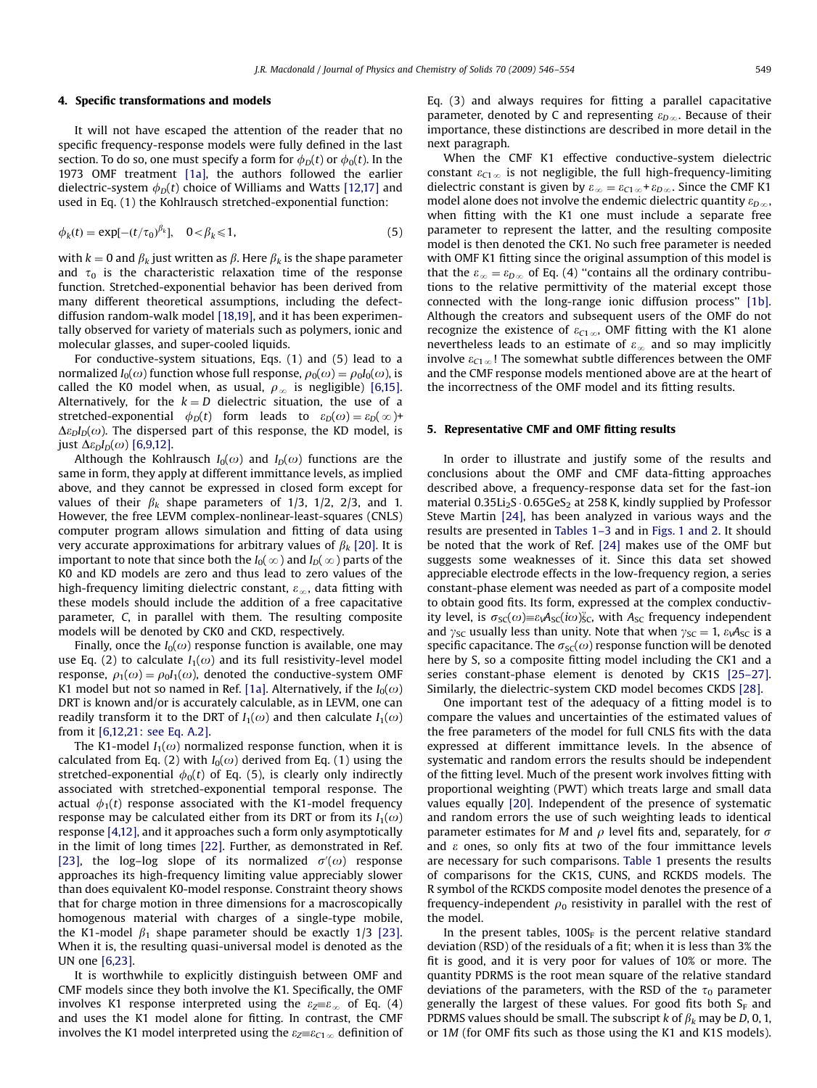#### 4. Specific transformations and models

It will not have escaped the attention of the reader that no specific frequency-response models were fully defined in the last section. To do so, one must specify a form for  $\phi<sub>D</sub>(t)$  or  $\phi<sub>0</sub>(t)$ . In the 1973 OMF treatment [1a], the authors followed the earlier dielectric-system  $\phi_D(t)$  choice of Williams and Watts [\[12,17\]](#page-8-0) and used in Eq. (1) the Kohlrausch stretched-exponential function:

$$
\phi_k(t) = \exp[-(t/\tau_0)^{\beta_k}], \quad 0 < \beta_k \leq 1,\tag{5}
$$

with  $k = 0$  and  $\beta_k$  just written as  $\beta$ . Here  $\beta_k$  is the shape parameter and  $\tau_0$  is the characteristic relaxation time of the response function. Stretched-exponential behavior has been derived from many different theoretical assumptions, including the defectdiffusion random-walk model [\[18,19\]](#page-8-0), and it has been experimentally observed for variety of materials such as polymers, ionic and molecular glasses, and super-cooled liquids.

For conductive-system situations, Eqs. (1) and (5) lead to a normalized  $I_0(\omega)$  function whose full response,  $\rho_0(\omega) = \rho_0I_0(\omega)$ , is called the K0 model when, as usual,  $\rho_{\infty}$  is negligible) [\[6,15\].](#page-8-0) Alternatively, for the  $k = D$  dielectric situation, the use of a stretched-exponential  $\phi_D(t)$  form leads to  $\varepsilon_D(\omega) = \varepsilon_D(\infty) +$  $\Delta \varepsilon_D I_D(\omega)$ . The dispersed part of this response, the KD model, is just  $\Delta \varepsilon_D I_D(\omega)$  [\[6,9,12\].](#page-8-0)

Although the Kohlrausch  $I_0(\omega)$  and  $I_D(\omega)$  functions are the same in form, they apply at different immittance levels, as implied above, and they cannot be expressed in closed form except for values of their  $\beta_k$  shape parameters of 1/3, 1/2, 2/3, and 1. However, the free LEVM complex-nonlinear-least-squares (CNLS) computer program allows simulation and fitting of data using very accurate approximations for arbitrary values of  $\beta_k$  [\[20\].](#page-8-0) It is important to note that since both the  $I_0(\infty)$  and  $I_D(\infty)$  parts of the K0 and KD models are zero and thus lead to zero values of the high-frequency limiting dielectric constant,  $\varepsilon_{\infty}$ , data fitting with these models should include the addition of a free capacitative parameter, C, in parallel with them. The resulting composite models will be denoted by CK0 and CKD, respectively.

Finally, once the  $I_0(\omega)$  response function is available, one may use Eq. (2) to calculate  $I_1(\omega)$  and its full resistivity-level model response,  $\rho_1(\omega) = \rho_0 I_1(\omega)$ , denoted the conductive-system OMF K1 model but not so named in Ref. [1a]. Alternatively, if the  $I_0(\omega)$ DRT is known and/or is accurately calculable, as in LEVM, one can readily transform it to the DRT of  $I_1(\omega)$  and then calculate  $I_1(\omega)$ from it [\[6,12,21: see Eq. A.2\]](#page-8-0).

The K1-model  $I_1(\omega)$  normalized response function, when it is calculated from Eq. (2) with  $I_0(\omega)$  derived from Eq. (1) using the stretched-exponential  $\phi_0(t)$  of Eq. (5), is clearly only indirectly associated with stretched-exponential temporal response. The actual  $\phi_1(t)$  response associated with the K1-model frequency response may be calculated either from its DRT or from its  $I_1(\omega)$ response [\[4,12\],](#page-8-0) and it approaches such a form only asymptotically in the limit of long times [\[22\]](#page-8-0). Further, as demonstrated in Ref. [\[23\]](#page-8-0), the log-log slope of its normalized  $\sigma'(\omega)$  response approaches its high-frequency limiting value appreciably slower than does equivalent K0-model response. Constraint theory shows that for charge motion in three dimensions for a macroscopically homogenous material with charges of a single-type mobile, the K1-model  $\beta_1$  shape parameter should be exactly 1/3 [\[23\].](#page-8-0) When it is, the resulting quasi-universal model is denoted as the UN one [\[6,23\]](#page-8-0).

It is worthwhile to explicitly distinguish between OMF and CMF models since they both involve the K1. Specifically, the OMF involves K1 response interpreted using the  $\varepsilon_2 = \varepsilon_{\infty}$  of Eq. (4) and uses the K1 model alone for fitting. In contrast, the CMF involves the K1 model interpreted using the  $\varepsilon_{Z} = \varepsilon_{C1\infty}$  definition of Eq. (3) and always requires for fitting a parallel capacitative parameter, denoted by C and representing  $\varepsilon_{D\infty}$ . Because of their importance, these distinctions are described in more detail in the next paragraph.

When the CMF K1 effective conductive-system dielectric constant  $\varepsilon_{C1\infty}$  is not negligible, the full high-frequency-limiting dielectric constant is given by  $\varepsilon_{\infty} = \varepsilon_{C1\infty} + \varepsilon_{D\infty}$ . Since the CMF K1 model alone does not involve the endemic dielectric quantity  $\varepsilon_{D\infty}$ , when fitting with the K1 one must include a separate free parameter to represent the latter, and the resulting composite model is then denoted the CK1. No such free parameter is needed with OMF K1 fitting since the original assumption of this model is that the  $\varepsilon_{\infty} = \varepsilon_{D\infty}$  of Eq. (4) "contains all the ordinary contributions to the relative permittivity of the material except those connected with the long-range ionic diffusion process'' [1b]. Although the creators and subsequent users of the OMF do not recognize the existence of  $\varepsilon_{C1\,\infty}$ , OMF fitting with the K1 alone nevertheless leads to an estimate of  $\varepsilon_{\infty}$  and so may implicitly involve  $\varepsilon_{C1\,\infty}$ ! The somewhat subtle differences between the OMF and the CMF response models mentioned above are at the heart of the incorrectness of the OMF model and its fitting results.

#### 5. Representative CMF and OMF fitting results

In order to illustrate and justify some of the results and conclusions about the OMF and CMF data-fitting approaches described above, a frequency-response data set for the fast-ion material  $0.35Li<sub>2</sub>S \cdot 0.65GeS<sub>2</sub>$  at 258 K, kindly supplied by Professor Steve Martin [\[24\]](#page-8-0), has been analyzed in various ways and the results are presented in [Tables 1–3](#page-4-0) and in [Figs. 1 and 2.](#page-5-0) It should be noted that the work of Ref. [\[24\]](#page-8-0) makes use of the OMF but suggests some weaknesses of it. Since this data set showed appreciable electrode effects in the low-frequency region, a series constant-phase element was needed as part of a composite model to obtain good fits. Its form, expressed at the complex conductivity level, is  $\sigma_{\text{SC}}(\omega) \equiv \varepsilon_1 A_{\text{SC}}(i\omega) \zeta_c$ , with  $A_{\text{SC}}$  frequency independent and  $\gamma_{SC}$  usually less than unity. Note that when  $\gamma_{SC} = 1$ ,  $\varepsilon_{V}A_{SC}$  is a specific capacitance. The  $\sigma_{\rm SC}(\omega)$  response function will be denoted here by S, so a composite fitting model including the CK1 and a series constant-phase element is denoted by CK1S [\[25–27\].](#page-8-0) Similarly, the dielectric-system CKD model becomes CKDS [\[28\].](#page-8-0)

One important test of the adequacy of a fitting model is to compare the values and uncertainties of the estimated values of the free parameters of the model for full CNLS fits with the data expressed at different immittance levels. In the absence of systematic and random errors the results should be independent of the fitting level. Much of the present work involves fitting with proportional weighting (PWT) which treats large and small data values equally [\[20\].](#page-8-0) Independent of the presence of systematic and random errors the use of such weighting leads to identical parameter estimates for M and  $\rho$  level fits and, separately, for  $\sigma$ and  $\varepsilon$  ones, so only fits at two of the four immittance levels are necessary for such comparisons. [Table 1](#page-4-0) presents the results of comparisons for the CK1S, CUNS, and RCKDS models. The R symbol of the RCKDS composite model denotes the presence of a frequency-independent  $\rho_0$  resistivity in parallel with the rest of the model.

In the present tables,  $100S<sub>F</sub>$  is the percent relative standard deviation (RSD) of the residuals of a fit; when it is less than 3% the fit is good, and it is very poor for values of 10% or more. The quantity PDRMS is the root mean square of the relative standard deviations of the parameters, with the RSD of the  $\tau_0$  parameter generally the largest of these values. For good fits both  $S_F$  and PDRMS values should be small. The subscript k of  $\beta_k$  may be D, 0, 1, or 1M (for OMF fits such as those using the K1 and K1S models).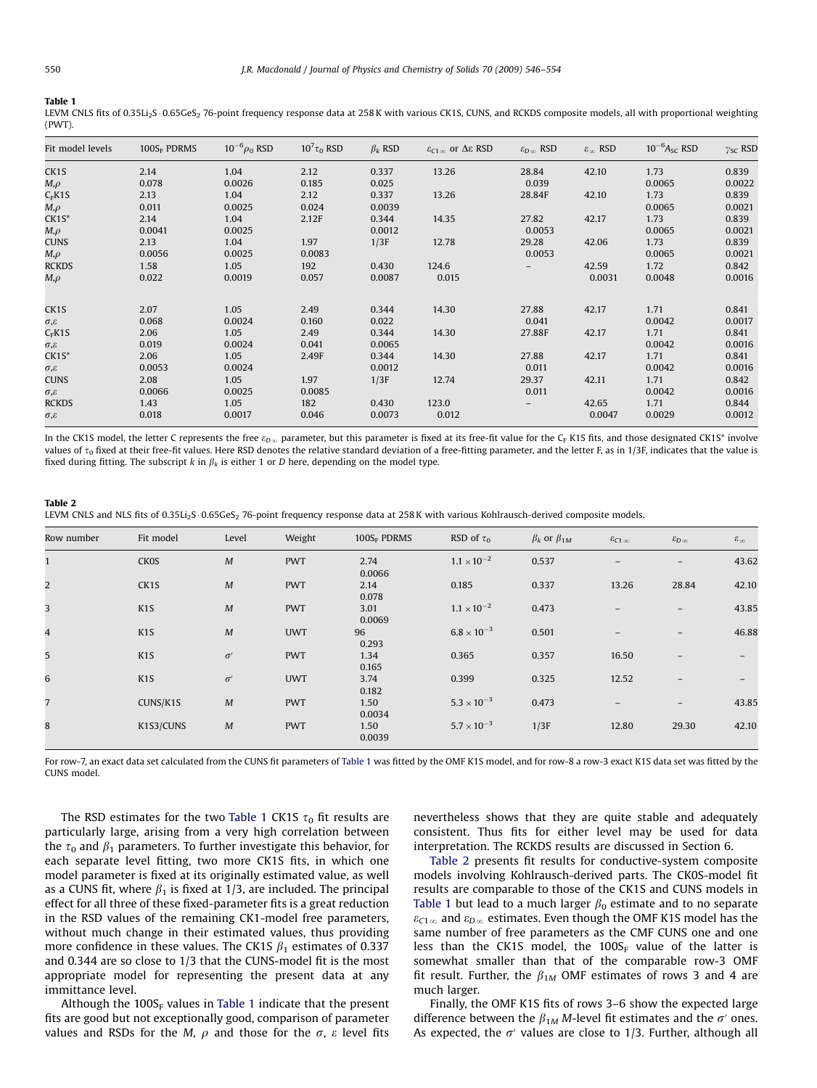#### <span id="page-4-0"></span>Table 1

LEVM CNLS fits of 0.35Li<sub>2</sub>S 0.65GeS<sub>2</sub> 76-point frequency response data at 258 K with various CK1S, CUNS, and RCKDS composite models, all with proportional weighting (PWT).

| Fit model levels         | $100S_F$ PDRMS | $10^{-6}$ $\rho_0$ RSD | $10^7 \tau_0$ RSD | $\beta_k$ RSD | $\varepsilon_{C1}$ or $\Delta \varepsilon$ RSD | $\varepsilon_{D_{CO}}$ RSD | $\varepsilon_{\infty}$ RSD | $10^{-6}$ A <sub>sc</sub> RSD | $\gamma_{SC}$ RSD |
|--------------------------|----------------|------------------------|-------------------|---------------|------------------------------------------------|----------------------------|----------------------------|-------------------------------|-------------------|
| CK1S                     | 2.14           | 1.04                   | 2.12              | 0.337         | 13.26                                          | 28.84                      | 42.10                      | 1.73                          | 0.839             |
| $M,\rho$                 | 0.078          | 0.0026                 | 0.185             | 0.025         |                                                | 0.039                      |                            | 0.0065                        | 0.0022            |
| $C_F K 1S$               | 2.13           | 1.04                   | 2.12              | 0.337         | 13.26                                          | 28.84F                     | 42.10                      | 1.73                          | 0.839             |
| $M, \rho$                | 0.011          | 0.0025                 | 0.024             | 0.0039        |                                                |                            |                            | 0.0065                        | 0.0021            |
| $CK1S^*$                 | 2.14           | 1.04                   | 2.12F             | 0.344         | 14.35                                          | 27.82                      | 42.17                      | 1.73                          | 0.839             |
| $M, \rho$                | 0.0041         | 0.0025                 |                   | 0.0012        |                                                | 0.0053                     |                            | 0.0065                        | 0.0021            |
| <b>CUNS</b>              | 2.13           | 1.04                   | 1.97              | 1/3F          | 12.78                                          | 29.28                      | 42.06                      | 1.73                          | 0.839             |
| $M,\rho$                 | 0.0056         | 0.0025                 | 0.0083            |               |                                                | 0.0053                     |                            | 0.0065                        | 0.0021            |
| <b>RCKDS</b>             | 1.58           | 1.05                   | 192               | 0.430         | 124.6                                          |                            | 42.59                      | 1.72                          | 0.842             |
| $M,\rho$                 | 0.022          | 0.0019                 | 0.057             | 0.0087        | 0.015                                          |                            | 0.0031                     | 0.0048                        | 0.0016            |
|                          |                |                        |                   |               |                                                |                            |                            |                               |                   |
| CK1S                     | 2.07           | 1.05                   | 2.49              | 0.344         | 14.30                                          | 27.88                      | 42.17                      | 1.71                          | 0.841             |
| $\sigma$ , $\varepsilon$ | 0.068          | 0.0024                 | 0.160             | 0.022         |                                                | 0.041                      |                            | 0.0042                        | 0.0017            |
| $C_F K 1S$               | 2.06           | 1.05                   | 2.49              | 0.344         | 14.30                                          | 27.88F                     | 42.17                      | 1.71                          | 0.841             |
| $\sigma$ , $\varepsilon$ | 0.019          | 0.0024                 | 0.041             | 0.0065        |                                                |                            |                            | 0.0042                        | 0.0016            |
| $CK1S^*$                 | 2.06           | 1.05                   | 2.49F             | 0.344         | 14.30                                          | 27.88                      | 42.17                      | 1.71                          | 0.841             |
| $\sigma$ , $\varepsilon$ | 0.0053         | 0.0024                 |                   | 0.0012        |                                                | 0.011                      |                            | 0.0042                        | 0.0016            |
| <b>CUNS</b>              | 2.08           | 1.05                   | 1.97              | 1/3F          | 12.74                                          | 29.37                      | 42.11                      | 1.71                          | 0.842             |
| $\sigma$ , $\varepsilon$ | 0.0066         | 0.0025                 | 0.0085            |               |                                                | 0.011                      |                            | 0.0042                        | 0.0016            |
| <b>RCKDS</b>             | 1.43           | 1.05                   | 182               | 0.430         | 123.0                                          |                            | 42.65                      | 1.71                          | 0.844             |
| $\sigma$ . $\varepsilon$ | 0.018          | 0.0017                 | 0.046             | 0.0073        | 0.012                                          |                            | 0.0047                     | 0.0029                        | 0.0012            |

In the CK1S model, the letter C represents the free  $\varepsilon_{D\infty}$  parameter, but this parameter is fixed at its free-fit value for the C<sub>F</sub> K1S fits, and those designated CK1S\* involve values of  $\tau_0$  fixed at their free-fit values. Here RSD denotes the relative standard deviation of a free-fitting parameter, and the letter F, as in 1/3F, indicates that the value is fixed during fitting. The subscript k in  $\beta_k$  is either 1 or D here, depending on the model type.

# Table 2

LEVM CNLS and NLS fits of 0.35Li<sub>2</sub>S .0.65GeS<sub>2</sub> 76-point frequency response data at 258 K with various Kohlrausch-derived composite models.

| Row number     | Fit model        | Level     | Weight     | 100SF PDRMS    | RSD of $\tau_0$      | $\beta_k$ or $\beta_{1M}$ | $\varepsilon_{C1}$ $\infty$ | $\mathcal{E}_{D\,\infty}$ | $\varepsilon_{\infty}$ |
|----------------|------------------|-----------|------------|----------------|----------------------|---------------------------|-----------------------------|---------------------------|------------------------|
|                | <b>CKOS</b>      | M         | <b>PWT</b> | 2.74<br>0.0066 | $1.1 \times 10^{-2}$ | 0.537                     |                             |                           | 43.62                  |
| $\overline{a}$ | CK1S             | M         | <b>PWT</b> | 2.14<br>0.078  | 0.185                | 0.337                     | 13.26                       | 28.84                     | 42.10                  |
| $\overline{3}$ | K <sub>1</sub> S | M         | <b>PWT</b> | 3.01<br>0.0069 | $1.1 \times 10^{-2}$ | 0.473                     | -                           | $\overline{\phantom{m}}$  | 43.85                  |
| $\overline{4}$ | K <sub>1</sub> S | M         | <b>UWT</b> | 96<br>0.293    | $6.8 \times 10^{-3}$ | 0.501                     |                             |                           | 46.88                  |
| 5              | K <sub>1</sub> S | $\sigma'$ | <b>PWT</b> | 1.34<br>0.165  | 0.365                | 0.357                     | 16.50                       | $\qquad \qquad -$         |                        |
| 6              | K <sub>1</sub> S | $\sigma'$ | <b>UWT</b> | 3.74<br>0.182  | 0.399                | 0.325                     | 12.52                       | $\overline{\phantom{a}}$  | $\qquad \qquad -$      |
| $\overline{7}$ | CUNS/K1S         | M         | <b>PWT</b> | 1.50<br>0.0034 | $5.3 \times 10^{-3}$ | 0.473                     | $\qquad \qquad -$           | $\overline{\phantom{0}}$  | 43.85                  |
| 8              | K1S3/CUNS        | M         | <b>PWT</b> | 1.50<br>0.0039 | $5.7 \times 10^{-3}$ | 1/3F                      | 12.80                       | 29.30                     | 42.10                  |

For row-7, an exact data set calculated from the CUNS fit parameters of Table 1 was fitted by the OMF K1S model, and for row-8 a row-3 exact K1S data set was fitted by the CUNS model.

The RSD estimates for the two Table 1 CK1S  $\tau_0$  fit results are particularly large, arising from a very high correlation between the  $\tau_0$  and  $\beta_1$  parameters. To further investigate this behavior, for each separate level fitting, two more CK1S fits, in which one model parameter is fixed at its originally estimated value, as well as a CUNS fit, where  $\beta_1$  is fixed at 1/3, are included. The principal effect for all three of these fixed-parameter fits is a great reduction in the RSD values of the remaining CK1-model free parameters, without much change in their estimated values, thus providing more confidence in these values. The CK1S  $\beta_1$  estimates of 0.337 and 0.344 are so close to 1/3 that the CUNS-model fit is the most appropriate model for representing the present data at any immittance level.

Although the  $100S_F$  values in Table 1 indicate that the present fits are good but not exceptionally good, comparison of parameter values and RSDs for the M,  $\rho$  and those for the  $\sigma$ ,  $\varepsilon$  level fits nevertheless shows that they are quite stable and adequately consistent. Thus fits for either level may be used for data interpretation. The RCKDS results are discussed in Section 6.

Table 2 presents fit results for conductive-system composite models involving Kohlrausch-derived parts. The CK0S-model fit results are comparable to those of the CK1S and CUNS models in Table 1 but lead to a much larger  $\beta_0$  estimate and to no separate  $\varepsilon_{C1\,\infty}$  and  $\varepsilon_{D\,\infty}$  estimates. Even though the OMF K1S model has the same number of free parameters as the CMF CUNS one and one less than the CK1S model, the  $100S_F$  value of the latter is somewhat smaller than that of the comparable row-3 OMF fit result. Further, the  $\beta_{1M}$  OMF estimates of rows 3 and 4 are much larger.

Finally, the OMF K1S fits of rows 3–6 show the expected large difference between the  $\beta_{1M}$  M-level fit estimates and the  $\sigma'$  ones. As expected, the  $\sigma'$  values are close to 1/3. Further, although all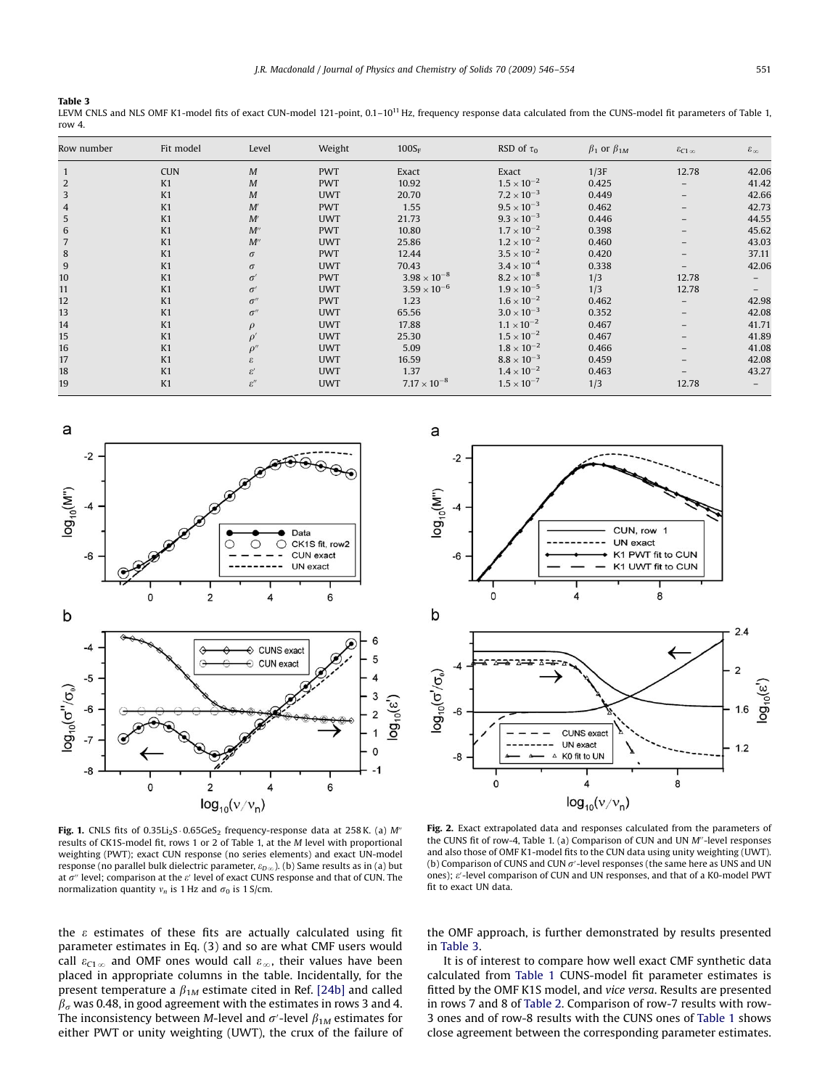### <span id="page-5-0"></span>Table 3

LEVM CNLS and NLS OMF K1-model fits of exact CUN-model 121-point, 0.1-10<sup>11</sup> Hz, frequency response data calculated from the CUNS-model fit parameters of [Table 1,](#page-4-0) row 4.

| Row number     | Fit model  | Level                        | Weight     | $100S_F$              | RSD of $\tau_0$      | $\beta_1$ or $\beta_{1M}$ | $\varepsilon_{C1}$ $\infty$ | $\varepsilon_{\infty}$ |
|----------------|------------|------------------------------|------------|-----------------------|----------------------|---------------------------|-----------------------------|------------------------|
| $\mathbf{1}$   | <b>CUN</b> | $\boldsymbol{M}$             | <b>PWT</b> | Exact                 | Exact                | 1/3F                      | 12.78                       | 42.06                  |
| $\overline{2}$ | K1         | $\cal M$                     | <b>PWT</b> | 10.92                 | $1.5 \times 10^{-2}$ | 0.425                     |                             | 41.42                  |
| 3              | K1         | $\cal M$                     | <b>UWT</b> | 20.70                 | $7.2 \times 10^{-3}$ | 0.449                     | $-$                         | 42.66                  |
| 4              | K1         | M'                           | <b>PWT</b> | 1.55                  | $9.5 \times 10^{-3}$ | 0.462                     |                             | 42.73                  |
| 5              | K1         | M'                           | <b>UWT</b> | 21.73                 | $9.3 \times 10^{-3}$ | 0.446                     |                             | 44.55                  |
| 6              | K1         | $M^{\prime\prime}$           | <b>PWT</b> | 10.80                 | $1.7 \times 10^{-2}$ | 0.398                     |                             | 45.62                  |
| 7              | K1         | $M^{\prime\prime}$           | <b>UWT</b> | 25.86                 | $1.2 \times 10^{-2}$ | 0.460                     |                             | 43.03                  |
| 8              | K1         | $\sigma$                     | <b>PWT</b> | 12.44                 | $3.5 \times 10^{-2}$ | 0.420                     |                             | 37.11                  |
| 9              | K1         | $\sigma$                     | <b>UWT</b> | 70.43                 | $3.4 \times 10^{-4}$ | 0.338                     |                             | 42.06                  |
| 10             | K1         | $\sigma'$                    | <b>PWT</b> | $3.98 \times 10^{-8}$ | $8.2 \times 10^{-8}$ | 1/3                       | 12.78                       | $-$                    |
| 11             | K1         | $\sigma'$                    | <b>UWT</b> | $3.59 \times 10^{-6}$ | $1.9 \times 10^{-5}$ | 1/3                       | 12.78                       |                        |
| 12             | K1         | $\sigma''$                   | <b>PWT</b> | 1.23                  | $1.6 \times 10^{-2}$ | 0.462                     |                             | 42.98                  |
| 13             | K1         | $\sigma''$                   | <b>UWT</b> | 65.56                 | $3.0 \times 10^{-3}$ | 0.352                     | $\overline{\phantom{0}}$    | 42.08                  |
| 14             | K1         | $\rho$                       | <b>UWT</b> | 17.88                 | $1.1 \times 10^{-2}$ | 0.467                     |                             | 41.71                  |
| 15             | K1         | $\rho'$                      | <b>UWT</b> | 25.30                 | $1.5 \times 10^{-2}$ | 0.467                     |                             | 41.89                  |
| 16             | K1         | $\rho''$                     | <b>UWT</b> | 5.09                  | $1.8 \times 10^{-2}$ | 0.466                     |                             | 41.08                  |
| 17             | K1         | £.                           | <b>UWT</b> | 16.59                 | $8.8 \times 10^{-3}$ | 0.459                     |                             | 42.08                  |
| 18             | K1         | $\varepsilon'$               | <b>UWT</b> | 1.37                  | $1.4 \times 10^{-2}$ | 0.463                     |                             | 43.27                  |
| 19             | K1         | $\varepsilon^{\prime\prime}$ | <b>UWT</b> | $7.17 \times 10^{-8}$ | $1.5 \times 10^{-7}$ | 1/3                       | 12.78                       |                        |



Fig. 1. CNLS fits of  $0.35Li_2S \cdot 0.65GeS_2$  frequency-response data at 258 K. (a) M<sup>o</sup> results of CK1S-model fit, rows 1 or 2 of [Table 1,](#page-4-0) at the M level with proportional weighting (PWT); exact CUN response (no series elements) and exact UN-model response (no parallel bulk dielectric parameter,  $\varepsilon_{D\infty}$ ). (b) Same results as in (a) but at  $\sigma$ " level; comparison at the  $e'$  level of exact CUNS response and that of CUN. The normalization quantity  $v_n$  is 1 Hz and  $\sigma_0$  is 1 S/cm.

the  $\varepsilon$  estimates of these fits are actually calculated using fit parameter estimates in Eq. (3) and so are what CMF users would call  $\varepsilon_{C1\,\infty}$  and OMF ones would call  $\varepsilon_{\infty}$ , their values have been placed in appropriate columns in the table. Incidentally, for the present temperature a  $\beta_{1M}$  estimate cited in Ref. [24b] and called  $\beta_{\sigma}$  was 0.48, in good agreement with the estimates in rows 3 and 4. The inconsistency between M-level and  $\sigma'$ -level  $\beta_{1M}$  estimates for either PWT or unity weighting (UWT), the crux of the failure of



Fig. 2. Exact extrapolated data and responses calculated from the parameters of the CUNS fit of row-4, [Table 1.](#page-4-0) (a) Comparison of CUN and UN  $M''$ -level responses and also those of OMF K1-model fits to the CUN data using unity weighting (UWT). (b) Comparison of CUNS and CUN  $\sigma'$ -level responses (the same here as UNS and UN ones);  $\varepsilon'$ -level comparison of CUN and UN responses, and that of a K0-model PWT fit to exact UN data.

the OMF approach, is further demonstrated by results presented in Table 3.

It is of interest to compare how well exact CMF synthetic data calculated from [Table 1](#page-4-0) CUNS-model fit parameter estimates is fitted by the OMF K1S model, and vice versa. Results are presented in rows 7 and 8 of [Table 2](#page-4-0). Comparison of row-7 results with row-3 ones and of row-8 results with the CUNS ones of [Table 1](#page-4-0) shows close agreement between the corresponding parameter estimates.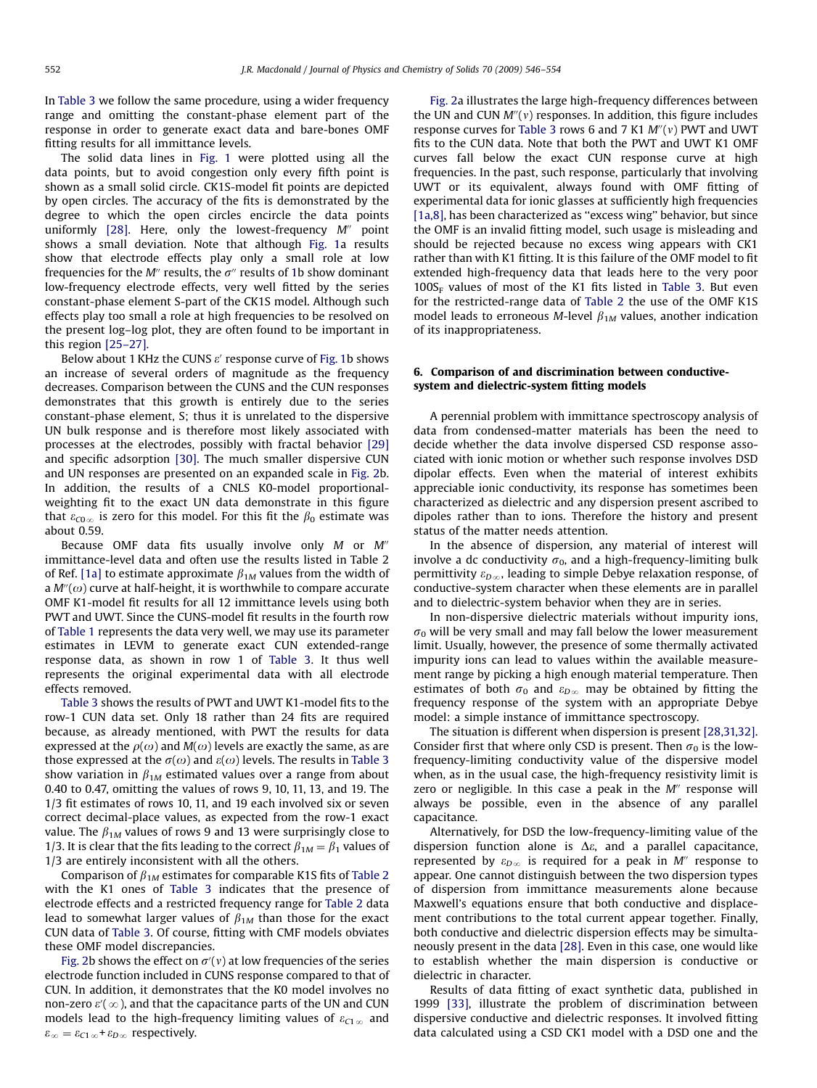In [Table 3](#page-5-0) we follow the same procedure, using a wider frequency range and omitting the constant-phase element part of the response in order to generate exact data and bare-bones OMF fitting results for all immittance levels.

The solid data lines in [Fig. 1](#page-5-0) were plotted using all the data points, but to avoid congestion only every fifth point is shown as a small solid circle. CK1S-model fit points are depicted by open circles. The accuracy of the fits is demonstrated by the degree to which the open circles encircle the data points uniformly [\[28\]](#page-8-0). Here, only the lowest-frequency  $M''$  point shows a small deviation. Note that although [Fig. 1](#page-5-0)a results show that electrode effects play only a small role at low frequencies for the M<sup>n</sup> results, the  $\sigma$ <sup>n</sup> results of [1](#page-5-0)b show dominant low-frequency electrode effects, very well fitted by the series constant-phase element S-part of the CK1S model. Although such effects play too small a role at high frequencies to be resolved on the present log–log plot, they are often found to be important in this region [\[25–27\].](#page-8-0)

Below about 1 KHz the CUNS  $\varepsilon'$  response curve of [Fig. 1b](#page-5-0) shows an increase of several orders of magnitude as the frequency decreases. Comparison between the CUNS and the CUN responses demonstrates that this growth is entirely due to the series constant-phase element, S; thus it is unrelated to the dispersive UN bulk response and is therefore most likely associated with processes at the electrodes, possibly with fractal behavior [\[29\]](#page-8-0) and specific adsorption [\[30\]](#page-8-0). The much smaller dispersive CUN and UN responses are presented on an expanded scale in [Fig. 2b](#page-5-0). In addition, the results of a CNLS K0-model proportionalweighting fit to the exact UN data demonstrate in this figure that  $\varepsilon_{\text{CO}\,\infty}$  is zero for this model. For this fit the  $\beta_0$  estimate was about 0.59.

Because OMF data fits usually involve only  $M$  or  $M''$ immittance-level data and often use the results listed in Table 2 of Ref. [1a] to estimate approximate  $\beta_{1M}$  values from the width of a  $M''(\omega)$  curve at half-height, it is worthwhile to compare accurate OMF K1-model fit results for all 12 immittance levels using both PWT and UWT. Since the CUNS-model fit results in the fourth row of [Table 1](#page-4-0) represents the data very well, we may use its parameter estimates in LEVM to generate exact CUN extended-range response data, as shown in row 1 of [Table 3.](#page-5-0) It thus well represents the original experimental data with all electrode effects removed.

[Table 3](#page-5-0) shows the results of PWT and UWT K1-model fits to the row-1 CUN data set. Only 18 rather than 24 fits are required because, as already mentioned, with PWT the results for data expressed at the  $\rho(\omega)$  and  $M(\omega)$  levels are exactly the same, as are those expressed at the  $\sigma(\omega)$  and  $\varepsilon(\omega)$  levels. The results in [Table 3](#page-5-0) show variation in  $\beta_{1M}$  estimated values over a range from about 0.40 to 0.47, omitting the values of rows 9, 10, 11, 13, and 19. The 1/3 fit estimates of rows 10, 11, and 19 each involved six or seven correct decimal-place values, as expected from the row-1 exact value. The  $\beta_{1M}$  values of rows 9 and 13 were surprisingly close to 1/3. It is clear that the fits leading to the correct  $\beta_{1M} = \beta_1$  values of 1/3 are entirely inconsistent with all the others.

Comparison of  $\beta_{1M}$  estimates for comparable K1S fits of [Table 2](#page-4-0) with the K1 ones of [Table 3](#page-5-0) indicates that the presence of electrode effects and a restricted frequency range for [Table 2](#page-4-0) data lead to somewhat larger values of  $\beta_{1M}$  than those for the exact CUN data of [Table 3.](#page-5-0) Of course, fitting with CMF models obviates these OMF model discrepancies.

[Fig. 2b](#page-5-0) shows the effect on  $\sigma'(v)$  at low frequencies of the series electrode function included in CUNS response compared to that of CUN. In addition, it demonstrates that the K0 model involves no non-zero  $\varepsilon'(\infty)$ , and that the capacitance parts of the UN and CUN models lead to the high-frequency limiting values of  $\varepsilon_{C1\infty}$  and  $\varepsilon_{\infty} = \varepsilon_{C1\,\infty} + \varepsilon_{D\,\infty}$  respectively.

[Fig. 2a](#page-5-0) illustrates the large high-frequency differences between the UN and CUN  $M''(v)$  responses. In addition, this figure includes response curves for [Table 3](#page-5-0) rows 6 and 7 K1  $M''(v)$  PWT and UWT fits to the CUN data. Note that both the PWT and UWT K1 OMF curves fall below the exact CUN response curve at high frequencies. In the past, such response, particularly that involving UWT or its equivalent, always found with OMF fitting of experimental data for ionic glasses at sufficiently high frequencies [1a,8], has been characterized as "excess wing" behavior, but since the OMF is an invalid fitting model, such usage is misleading and should be rejected because no excess wing appears with CK1 rather than with K1 fitting. It is this failure of the OMF model to fit extended high-frequency data that leads here to the very poor  $100S_F$  values of most of the K1 fits listed in [Table 3.](#page-5-0) But even for the restricted-range data of [Table 2](#page-4-0) the use of the OMF K1S model leads to erroneous M-level  $\beta_{1M}$  values, another indication of its inappropriateness.

### 6. Comparison of and discrimination between conductivesystem and dielectric-system fitting models

A perennial problem with immittance spectroscopy analysis of data from condensed-matter materials has been the need to decide whether the data involve dispersed CSD response associated with ionic motion or whether such response involves DSD dipolar effects. Even when the material of interest exhibits appreciable ionic conductivity, its response has sometimes been characterized as dielectric and any dispersion present ascribed to dipoles rather than to ions. Therefore the history and present status of the matter needs attention.

In the absence of dispersion, any material of interest will involve a dc conductivity  $\sigma_0$ , and a high-frequency-limiting bulk permittivity  $\varepsilon_{D\infty}$ , leading to simple Debye relaxation response, of conductive-system character when these elements are in parallel and to dielectric-system behavior when they are in series.

In non-dispersive dielectric materials without impurity ions,  $\sigma_0$  will be very small and may fall below the lower measurement limit. Usually, however, the presence of some thermally activated impurity ions can lead to values within the available measurement range by picking a high enough material temperature. Then estimates of both  $\sigma_0$  and  $\varepsilon_{D\infty}$  may be obtained by fitting the frequency response of the system with an appropriate Debye model: a simple instance of immittance spectroscopy.

The situation is different when dispersion is present [\[28,31,32\].](#page-8-0) Consider first that where only CSD is present. Then  $\sigma_0$  is the lowfrequency-limiting conductivity value of the dispersive model when, as in the usual case, the high-frequency resistivity limit is zero or negligible. In this case a peak in the  $M''$  response will always be possible, even in the absence of any parallel capacitance.

Alternatively, for DSD the low-frequency-limiting value of the dispersion function alone is  $\Delta \varepsilon$ , and a parallel capacitance, represented by  $\varepsilon_{D\infty}$  is required for a peak in M<sup>n</sup> response to appear. One cannot distinguish between the two dispersion types of dispersion from immittance measurements alone because Maxwell's equations ensure that both conductive and displacement contributions to the total current appear together. Finally, both conductive and dielectric dispersion effects may be simultaneously present in the data [\[28\]](#page-8-0). Even in this case, one would like to establish whether the main dispersion is conductive or dielectric in character.

Results of data fitting of exact synthetic data, published in 1999 [\[33\],](#page-8-0) illustrate the problem of discrimination between dispersive conductive and dielectric responses. It involved fitting data calculated using a CSD CK1 model with a DSD one and the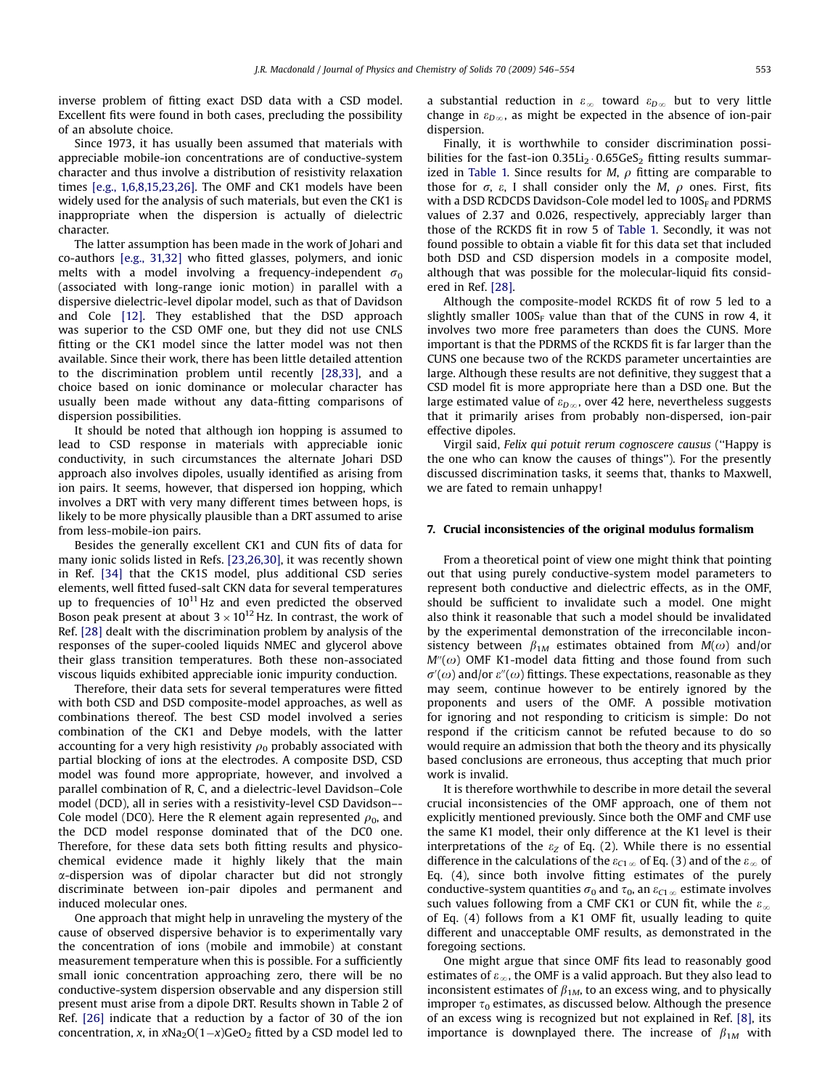inverse problem of fitting exact DSD data with a CSD model. Excellent fits were found in both cases, precluding the possibility of an absolute choice.

Since 1973, it has usually been assumed that materials with appreciable mobile-ion concentrations are of conductive-system character and thus involve a distribution of resistivity relaxation times [\[e.g., 1,6,8,15,23,26\]](#page-8-0). The OMF and CK1 models have been widely used for the analysis of such materials, but even the CK1 is inappropriate when the dispersion is actually of dielectric character.

The latter assumption has been made in the work of Johari and co-authors [\[e.g., 31,32\]](#page-8-0) who fitted glasses, polymers, and ionic melts with a model involving a frequency-independent  $\sigma_0$ (associated with long-range ionic motion) in parallel with a dispersive dielectric-level dipolar model, such as that of Davidson and Cole [\[12\]](#page-8-0). They established that the DSD approach was superior to the CSD OMF one, but they did not use CNLS fitting or the CK1 model since the latter model was not then available. Since their work, there has been little detailed attention to the discrimination problem until recently [\[28,33\]](#page-8-0), and a choice based on ionic dominance or molecular character has usually been made without any data-fitting comparisons of dispersion possibilities.

It should be noted that although ion hopping is assumed to lead to CSD response in materials with appreciable ionic conductivity, in such circumstances the alternate Johari DSD approach also involves dipoles, usually identified as arising from ion pairs. It seems, however, that dispersed ion hopping, which involves a DRT with very many different times between hops, is likely to be more physically plausible than a DRT assumed to arise from less-mobile-ion pairs.

Besides the generally excellent CK1 and CUN fits of data for many ionic solids listed in Refs. [\[23,26,30\],](#page-8-0) it was recently shown in Ref. [\[34\]](#page-8-0) that the CK1S model, plus additional CSD series elements, well fitted fused-salt CKN data for several temperatures up to frequencies of  $10^{11}$  Hz and even predicted the observed Boson peak present at about  $3 \times 10^{12}$  Hz. In contrast, the work of Ref. [\[28\]](#page-8-0) dealt with the discrimination problem by analysis of the responses of the super-cooled liquids NMEC and glycerol above their glass transition temperatures. Both these non-associated viscous liquids exhibited appreciable ionic impurity conduction.

Therefore, their data sets for several temperatures were fitted with both CSD and DSD composite-model approaches, as well as combinations thereof. The best CSD model involved a series combination of the CK1 and Debye models, with the latter accounting for a very high resistivity  $\rho_0$  probably associated with partial blocking of ions at the electrodes. A composite DSD, CSD model was found more appropriate, however, and involved a parallel combination of R, C, and a dielectric-level Davidson–Cole model (DCD), all in series with a resistivity-level CSD Davidson–- Cole model (DC0). Here the R element again represented  $\rho_0$ , and the DCD model response dominated that of the DC0 one. Therefore, for these data sets both fitting results and physicochemical evidence made it highly likely that the main a-dispersion was of dipolar character but did not strongly discriminate between ion-pair dipoles and permanent and induced molecular ones.

One approach that might help in unraveling the mystery of the cause of observed dispersive behavior is to experimentally vary the concentration of ions (mobile and immobile) at constant measurement temperature when this is possible. For a sufficiently small ionic concentration approaching zero, there will be no conductive-system dispersion observable and any dispersion still present must arise from a dipole DRT. Results shown in Table 2 of Ref. [\[26\]](#page-8-0) indicate that a reduction by a factor of 30 of the ion concentration, x, in xNa<sub>2</sub>O(1–x)GeO<sub>2</sub> fitted by a CSD model led to

a substantial reduction in  $\varepsilon_{\infty}$  toward  $\varepsilon_{D\infty}$  but to very little change in  $\varepsilon_{D\infty}$ , as might be expected in the absence of ion-pair dispersion.

Finally, it is worthwhile to consider discrimination possibilities for the fast-ion  $0.35Li<sub>2</sub> \cdot 0.65GeS<sub>2</sub>$  fitting results summar-ized in [Table 1.](#page-4-0) Since results for M,  $\rho$  fitting are comparable to those for  $\sigma$ ,  $\varepsilon$ , I shall consider only the M,  $\rho$  ones. First, fits with a DSD RCDCDS Davidson-Cole model led to  $100S<sub>F</sub>$  and PDRMS values of 2.37 and 0.026, respectively, appreciably larger than those of the RCKDS fit in row 5 of [Table 1.](#page-4-0) Secondly, it was not found possible to obtain a viable fit for this data set that included both DSD and CSD dispersion models in a composite model, although that was possible for the molecular-liquid fits considered in Ref. [\[28\].](#page-8-0)

Although the composite-model RCKDS fit of row 5 led to a slightly smaller  $100S_F$  value than that of the CUNS in row 4, it involves two more free parameters than does the CUNS. More important is that the PDRMS of the RCKDS fit is far larger than the CUNS one because two of the RCKDS parameter uncertainties are large. Although these results are not definitive, they suggest that a CSD model fit is more appropriate here than a DSD one. But the large estimated value of  $\varepsilon_{D\infty}$ , over 42 here, nevertheless suggests that it primarily arises from probably non-dispersed, ion-pair effective dipoles.

Virgil said, Felix qui potuit rerum cognoscere causus (''Happy is the one who can know the causes of things''). For the presently discussed discrimination tasks, it seems that, thanks to Maxwell, we are fated to remain unhappy!

#### 7. Crucial inconsistencies of the original modulus formalism

From a theoretical point of view one might think that pointing out that using purely conductive-system model parameters to represent both conductive and dielectric effects, as in the OMF, should be sufficient to invalidate such a model. One might also think it reasonable that such a model should be invalidated by the experimental demonstration of the irreconcilable inconsistency between  $\beta_{1M}$  estimates obtained from  $M(\omega)$  and/or  $M''(\omega)$  OMF K1-model data fitting and those found from such  $\sigma'(\omega)$  and/or  $\varepsilon''(\omega)$  fittings. These expectations, reasonable as they may seem, continue however to be entirely ignored by the proponents and users of the OMF. A possible motivation for ignoring and not responding to criticism is simple: Do not respond if the criticism cannot be refuted because to do so would require an admission that both the theory and its physically based conclusions are erroneous, thus accepting that much prior work is invalid.

It is therefore worthwhile to describe in more detail the several crucial inconsistencies of the OMF approach, one of them not explicitly mentioned previously. Since both the OMF and CMF use the same K1 model, their only difference at the K1 level is their interpretations of the  $\varepsilon_Z$  of Eq. (2). While there is no essential difference in the calculations of the  $\varepsilon_{C1\,\infty}$  of Eq. (3) and of the  $\varepsilon_{\infty}$  of Eq. (4), since both involve fitting estimates of the purely conductive-system quantities  $\sigma_0$  and  $\tau_0$ , an  $\varepsilon_{C1\,\infty}$  estimate involves such values following from a CMF CK1 or CUN fit, while the  $\varepsilon_{\infty}$ of Eq. (4) follows from a K1 OMF fit, usually leading to quite different and unacceptable OMF results, as demonstrated in the foregoing sections.

One might argue that since OMF fits lead to reasonably good estimates of  $\varepsilon_{\infty}$ , the OMF is a valid approach. But they also lead to inconsistent estimates of  $\beta_{1M}$ , to an excess wing, and to physically improper  $\tau_0$  estimates, as discussed below. Although the presence of an excess wing is recognized but not explained in Ref. [\[8\]](#page-8-0), its importance is downplayed there. The increase of  $\beta_{1M}$  with